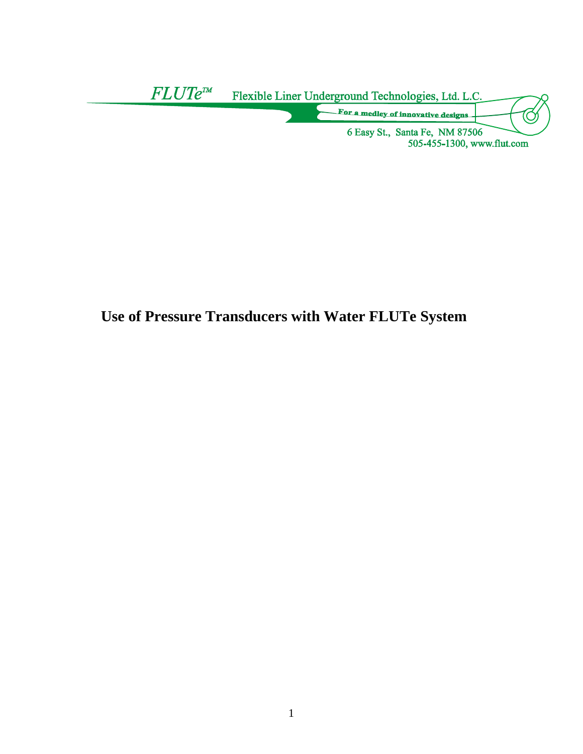

# **Use of Pressure Transducers with Water FLUTe System**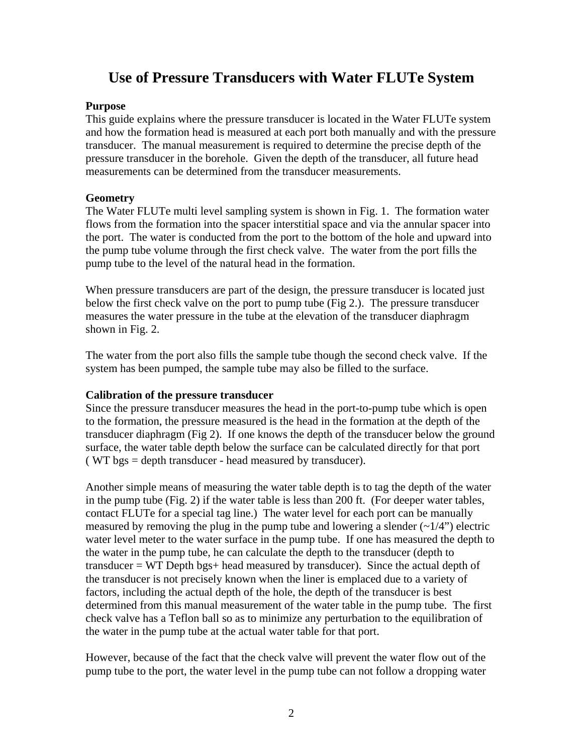## **Use of Pressure Transducers with Water FLUTe System**

#### **Purpose**

This guide explains where the pressure transducer is located in the Water FLUTe system and how the formation head is measured at each port both manually and with the pressure transducer. The manual measurement is required to determine the precise depth of the pressure transducer in the borehole. Given the depth of the transducer, all future head measurements can be determined from the transducer measurements.

#### **Geometry**

The Water FLUTe multi level sampling system is shown in Fig. 1. The formation water flows from the formation into the spacer interstitial space and via the annular spacer into the port. The water is conducted from the port to the bottom of the hole and upward into the pump tube volume through the first check valve. The water from the port fills the pump tube to the level of the natural head in the formation.

When pressure transducers are part of the design, the pressure transducer is located just below the first check valve on the port to pump tube (Fig 2.). The pressure transducer measures the water pressure in the tube at the elevation of the transducer diaphragm shown in Fig. 2.

The water from the port also fills the sample tube though the second check valve. If the system has been pumped, the sample tube may also be filled to the surface.

### **Calibration of the pressure transducer**

Since the pressure transducer measures the head in the port-to-pump tube which is open to the formation, the pressure measured is the head in the formation at the depth of the transducer diaphragm (Fig 2). If one knows the depth of the transducer below the ground surface, the water table depth below the surface can be calculated directly for that port ( WT bgs = depth transducer - head measured by transducer).

Another simple means of measuring the water table depth is to tag the depth of the water in the pump tube (Fig. 2) if the water table is less than 200 ft. (For deeper water tables, contact FLUTe for a special tag line.) The water level for each port can be manually measured by removing the plug in the pump tube and lowering a slender  $(\sim 1/4)$  electric water level meter to the water surface in the pump tube. If one has measured the depth to the water in the pump tube, he can calculate the depth to the transducer (depth to transducer = WT Depth bgs+ head measured by transducer). Since the actual depth of the transducer is not precisely known when the liner is emplaced due to a variety of factors, including the actual depth of the hole, the depth of the transducer is best determined from this manual measurement of the water table in the pump tube. The first check valve has a Teflon ball so as to minimize any perturbation to the equilibration of the water in the pump tube at the actual water table for that port.

However, because of the fact that the check valve will prevent the water flow out of the pump tube to the port, the water level in the pump tube can not follow a dropping water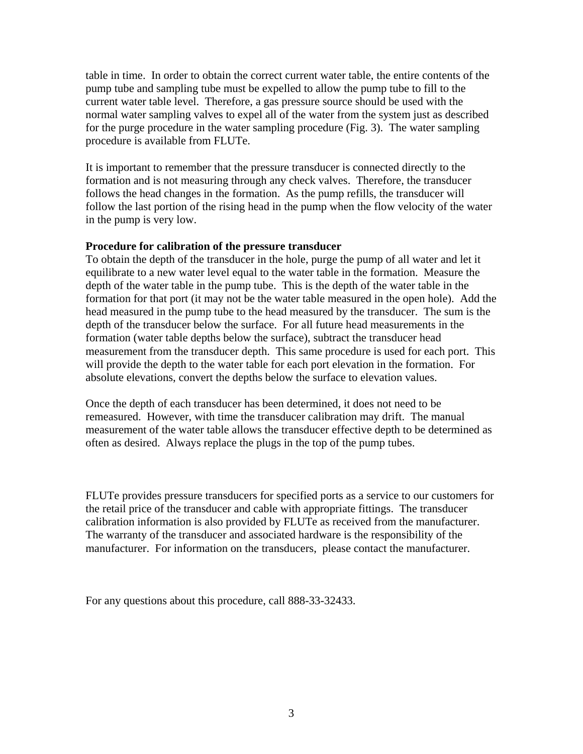table in time. In order to obtain the correct current water table, the entire contents of the pump tube and sampling tube must be expelled to allow the pump tube to fill to the current water table level. Therefore, a gas pressure source should be used with the normal water sampling valves to expel all of the water from the system just as described for the purge procedure in the water sampling procedure (Fig. 3). The water sampling procedure is available from FLUTe.

It is important to remember that the pressure transducer is connected directly to the formation and is not measuring through any check valves. Therefore, the transducer follows the head changes in the formation. As the pump refills, the transducer will follow the last portion of the rising head in the pump when the flow velocity of the water in the pump is very low.

#### **Procedure for calibration of the pressure transducer**

To obtain the depth of the transducer in the hole, purge the pump of all water and let it equilibrate to a new water level equal to the water table in the formation. Measure the depth of the water table in the pump tube. This is the depth of the water table in the formation for that port (it may not be the water table measured in the open hole). Add the head measured in the pump tube to the head measured by the transducer. The sum is the depth of the transducer below the surface. For all future head measurements in the formation (water table depths below the surface), subtract the transducer head measurement from the transducer depth. This same procedure is used for each port. This will provide the depth to the water table for each port elevation in the formation. For absolute elevations, convert the depths below the surface to elevation values.

Once the depth of each transducer has been determined, it does not need to be remeasured. However, with time the transducer calibration may drift. The manual measurement of the water table allows the transducer effective depth to be determined as often as desired. Always replace the plugs in the top of the pump tubes.

FLUTe provides pressure transducers for specified ports as a service to our customers for the retail price of the transducer and cable with appropriate fittings. The transducer calibration information is also provided by FLUTe as received from the manufacturer. The warranty of the transducer and associated hardware is the responsibility of the manufacturer. For information on the transducers, please contact the manufacturer.

For any questions about this procedure, call 888-33-32433.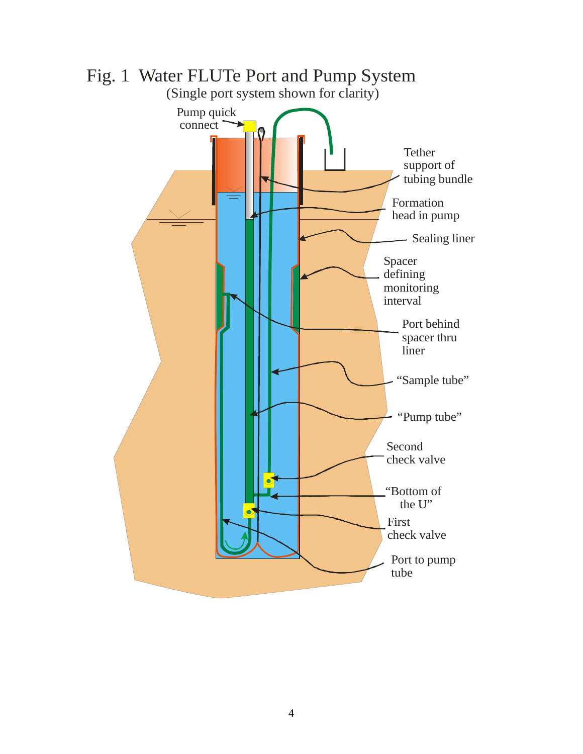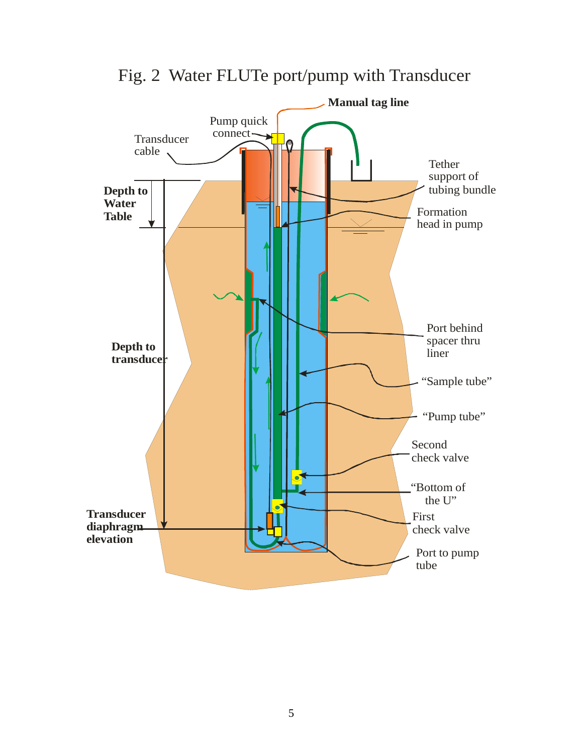

Fig. 2 Water FLUTe port/pump with Transducer